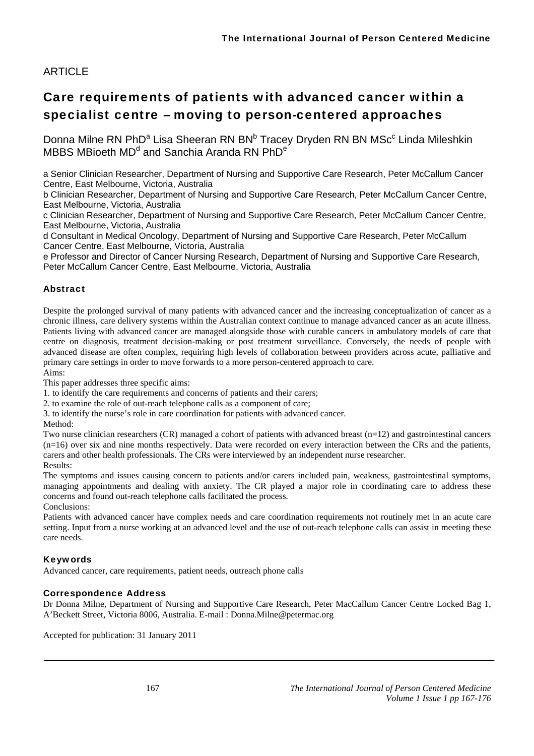# **ARTICLE**

# Care requirements of patients with advanced cancer within a specialist centre – moving to person-centered approaches

Donna Milne RN PhD<sup>a</sup> Lisa Sheeran RN BN<sup>b</sup> Tracey Dryden RN BN MSc<sup>c</sup> Linda Mileshkin MBBS MBioeth MD<sup>d</sup> and Sanchia Aranda RN PhD<sup>e</sup>

a Senior Clinician Researcher, Department of Nursing and Supportive Care Research, Peter McCallum Cancer Centre, East Melbourne, Victoria, Australia

b Clinician Researcher, Department of Nursing and Supportive Care Research, Peter McCallum Cancer Centre, East Melbourne, Victoria, Australia

c Clinician Researcher, Department of Nursing and Supportive Care Research, Peter McCallum Cancer Centre, East Melbourne, Victoria, Australia

d Consultant in Medical Oncology, Department of Nursing and Supportive Care Research, Peter McCallum Cancer Centre, East Melbourne, Victoria, Australia

e Professor and Director of Cancer Nursing Research, Department of Nursing and Supportive Care Research, Peter McCallum Cancer Centre, East Melbourne, Victoria, Australia

### Abstract

Despite the prolonged survival of many patients with advanced cancer and the increasing conceptualization of cancer as a chronic illness, care delivery systems within the Australian context continue to manage advanced cancer as an acute illness. Patients living with advanced cancer are managed alongside those with curable cancers in ambulatory models of care that centre on diagnosis, treatment decision-making or post treatment surveillance. Conversely, the needs of people with advanced disease are often complex, requiring high levels of collaboration between providers across acute, palliative and primary care settings in order to move forwards to a more person-centered approach to care. Aims:

This paper addresses three specific aims:

1. to identify the care requirements and concerns of patients and their carers;

2. to examine the role of out-reach telephone calls as a component of care;

3. to identify the nurse's role in care coordination for patients with advanced cancer.

Method:

Two nurse clinician researchers (CR) managed a cohort of patients with advanced breast (n=12) and gastrointestinal cancers (n=16) over six and nine months respectively. Data were recorded on every interaction between the CRs and the patients, carers and other health professionals. The CRs were interviewed by an independent nurse researcher. Results:

The symptoms and issues causing concern to patients and/or carers included pain, weakness, gastrointestinal symptoms, managing appointments and dealing with anxiety. The CR played a major role in coordinating care to address these concerns and found out-reach telephone calls facilitated the process.

Conclusions:

Patients with advanced cancer have complex needs and care coordination requirements not routinely met in an acute care setting. Input from a nurse working at an advanced level and the use of out-reach telephone calls can assist in meeting these care needs.

### Keywords

Advanced cancer, care requirements, patient needs, outreach phone calls

### Correspondence Address

Dr Donna Milne, Department of Nursing and Supportive Care Research, Peter MacCallum Cancer Centre Locked Bag 1, A'Beckett Street, Victoria 8006, Australia. E-mail : Donna.Milne@petermac.org

Accepted for publication: 31 January 2011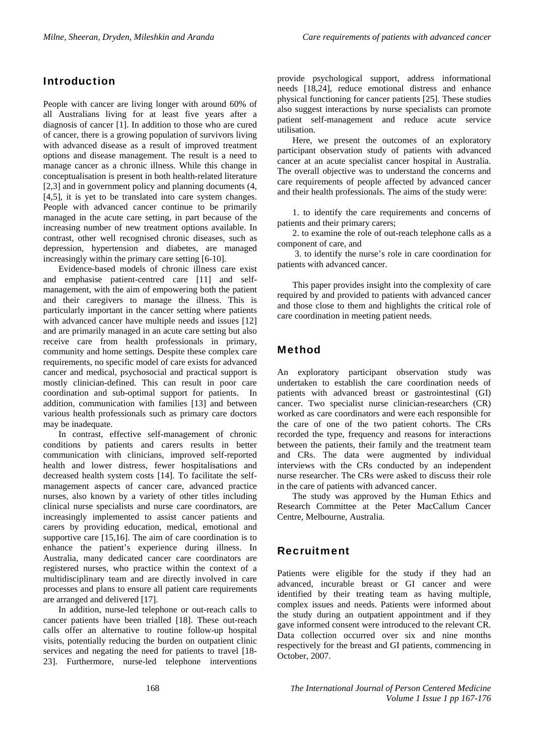### Introduction

People with cancer are living longer with around 60% of all Australians living for at least five years after a diagnosis of cancer [1]. In addition to those who are cured of cancer, there is a growing population of survivors living with advanced disease as a result of improved treatment options and disease management. The result is a need to manage cancer as a chronic illness. While this change in conceptualisation is present in both health-related literature [2,3] and in government policy and planning documents (4, [4,5], it is yet to be translated into care system changes. People with advanced cancer continue to be primarily managed in the acute care setting, in part because of the increasing number of new treatment options available. In contrast, other well recognised chronic diseases, such as depression, hypertension and diabetes, are managed increasingly within the primary care setting [6-10].

Evidence-based models of chronic illness care exist and emphasise patient-centred care [11] and selfmanagement, with the aim of empowering both the patient and their caregivers to manage the illness. This is particularly important in the cancer setting where patients with advanced cancer have multiple needs and issues [12] and are primarily managed in an acute care setting but also receive care from health professionals in primary, community and home settings. Despite these complex care requirements, no specific model of care exists for advanced cancer and medical, psychosocial and practical support is mostly clinician-defined. This can result in poor care coordination and sub-optimal support for patients. In addition, communication with families [13] and between various health professionals such as primary care doctors may be inadequate.

In contrast, effective self-management of chronic conditions by patients and carers results in better communication with clinicians, improved self-reported health and lower distress, fewer hospitalisations and decreased health system costs [14]. To facilitate the selfmanagement aspects of cancer care, advanced practice nurses, also known by a variety of other titles including clinical nurse specialists and nurse care coordinators, are increasingly implemented to assist cancer patients and carers by providing education, medical, emotional and supportive care [15,16]. The aim of care coordination is to enhance the patient's experience during illness. In Australia, many dedicated cancer care coordinators are registered nurses, who practice within the context of a multidisciplinary team and are directly involved in care processes and plans to ensure all patient care requirements are arranged and delivered [17].

In addition, nurse-led telephone or out-reach calls to cancer patients have been trialled [18]. These out-reach calls offer an alternative to routine follow-up hospital visits, potentially reducing the burden on outpatient clinic services and negating the need for patients to travel [18- 23]. Furthermore, nurse-led telephone interventions provide psychological support, address informational needs [18,24], reduce emotional distress and enhance physical functioning for cancer patients [25]. These studies also suggest interactions by nurse specialists can promote patient self-management and reduce acute service utilisation.

Here, we present the outcomes of an exploratory participant observation study of patients with advanced cancer at an acute specialist cancer hospital in Australia. The overall objective was to understand the concerns and care requirements of people affected by advanced cancer and their health professionals. The aims of the study were:

1. to identify the care requirements and concerns of patients and their primary carers;

2. to examine the role of out-reach telephone calls as a component of care, and

 3. to identify the nurse's role in care coordination for patients with advanced cancer.

This paper provides insight into the complexity of care required by and provided to patients with advanced cancer and those close to them and highlights the critical role of care coordination in meeting patient needs.

### Method

An exploratory participant observation study was undertaken to establish the care coordination needs of patients with advanced breast or gastrointestinal (GI) cancer. Two specialist nurse clinician-researchers (CR) worked as care coordinators and were each responsible for the care of one of the two patient cohorts. The CRs recorded the type, frequency and reasons for interactions between the patients, their family and the treatment team and CRs. The data were augmented by individual interviews with the CRs conducted by an independent nurse researcher. The CRs were asked to discuss their role in the care of patients with advanced cancer.

The study was approved by the Human Ethics and Research Committee at the Peter MacCallum Cancer Centre, Melbourne, Australia.

### Recruitment

Patients were eligible for the study if they had an advanced, incurable breast or GI cancer and were identified by their treating team as having multiple, complex issues and needs. Patients were informed about the study during an outpatient appointment and if they gave informed consent were introduced to the relevant CR. Data collection occurred over six and nine months respectively for the breast and GI patients, commencing in October, 2007.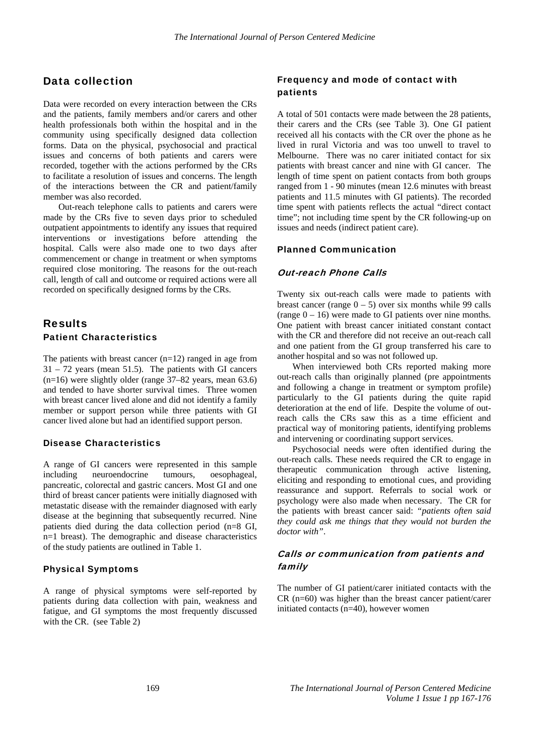### Data collection

Data were recorded on every interaction between the CRs and the patients, family members and/or carers and other health professionals both within the hospital and in the community using specifically designed data collection forms. Data on the physical, psychosocial and practical issues and concerns of both patients and carers were recorded, together with the actions performed by the CRs to facilitate a resolution of issues and concerns. The length of the interactions between the CR and patient/family member was also recorded.

Out-reach telephone calls to patients and carers were made by the CRs five to seven days prior to scheduled outpatient appointments to identify any issues that required interventions or investigations before attending the hospital. Calls were also made one to two days after commencement or change in treatment or when symptoms required close monitoring. The reasons for the out-reach call, length of call and outcome or required actions were all recorded on specifically designed forms by the CRs.

### Results Patient Characteristics

The patients with breast cancer  $(n=12)$  ranged in age from 31 – 72 years (mean 51.5). The patients with GI cancers (n=16) were slightly older (range 37–82 years, mean 63.6) and tended to have shorter survival times. Three women with breast cancer lived alone and did not identify a family member or support person while three patients with GI cancer lived alone but had an identified support person.

#### Disease Characteristics

A range of GI cancers were represented in this sample including neuroendocrine tumours, oesophageal, pancreatic, colorectal and gastric cancers. Most GI and one third of breast cancer patients were initially diagnosed with metastatic disease with the remainder diagnosed with early disease at the beginning that subsequently recurred. Nine patients died during the data collection period (n=8 GI, n=1 breast). The demographic and disease characteristics of the study patients are outlined in Table 1.

#### Physical Symptoms

A range of physical symptoms were self-reported by patients during data collection with pain, weakness and fatigue, and GI symptoms the most frequently discussed with the CR. (see Table 2)

### Frequency and mode of contact with patients

A total of 501 contacts were made between the 28 patients, their carers and the CRs (see Table 3). One GI patient received all his contacts with the CR over the phone as he lived in rural Victoria and was too unwell to travel to Melbourne. There was no carer initiated contact for six patients with breast cancer and nine with GI cancer. The length of time spent on patient contacts from both groups ranged from 1 - 90 minutes (mean 12.6 minutes with breast patients and 11.5 minutes with GI patients). The recorded time spent with patients reflects the actual "direct contact time"; not including time spent by the CR following-up on issues and needs (indirect patient care).

#### Planned Communication

#### Out-reach Phone Calls

Twenty six out-reach calls were made to patients with breast cancer (range  $0 - 5$ ) over six months while 99 calls (range  $0 - 16$ ) were made to GI patients over nine months. One patient with breast cancer initiated constant contact with the CR and therefore did not receive an out-reach call and one patient from the GI group transferred his care to another hospital and so was not followed up.

When interviewed both CRs reported making more out-reach calls than originally planned (pre appointments and following a change in treatment or symptom profile) particularly to the GI patients during the quite rapid deterioration at the end of life. Despite the volume of outreach calls the CRs saw this as a time efficient and practical way of monitoring patients, identifying problems and intervening or coordinating support services.

Psychosocial needs were often identified during the out-reach calls. These needs required the CR to engage in therapeutic communication through active listening, eliciting and responding to emotional cues, and providing reassurance and support. Referrals to social work or psychology were also made when necessary. The CR for the patients with breast cancer said: *"patients often said they could ask me things that they would not burden the doctor with"*.

### Calls or communication from patients and family

The number of GI patient/carer initiated contacts with the  $CR$  (n=60) was higher than the breast cancer patient/carer initiated contacts (n=40), however women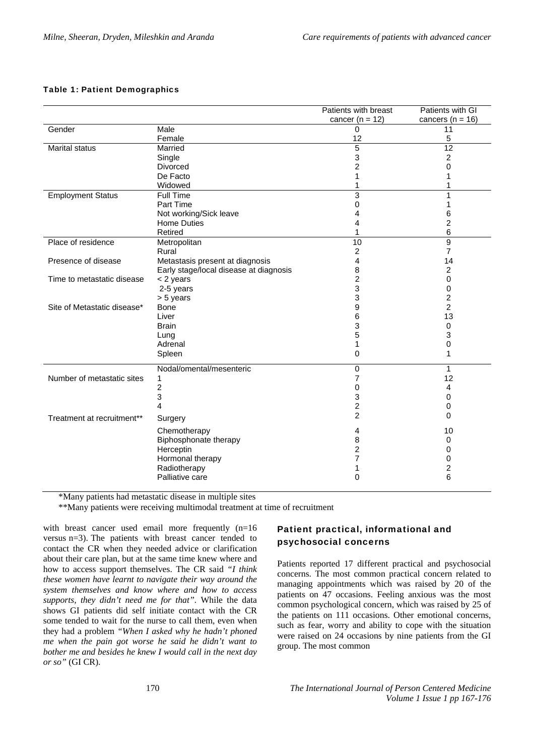#### Table 1: Patient Demographics

|                             |                                        | Patients with breast | Patients with GI        |
|-----------------------------|----------------------------------------|----------------------|-------------------------|
|                             |                                        | cancer ( $n = 12$ )  | cancers ( $n = 16$ )    |
| Gender                      | Male                                   | $\Omega$             | 11                      |
|                             | Female                                 | 12                   | 5                       |
| Marital status              | Married                                | $\overline{5}$       | $\overline{12}$         |
|                             | Single                                 | 3                    | $\overline{2}$          |
|                             | <b>Divorced</b>                        | 2                    | $\Omega$                |
|                             | De Facto                               | 1                    |                         |
|                             | Widowed                                | 1                    |                         |
| <b>Employment Status</b>    | <b>Full Time</b>                       | 3                    | 1                       |
|                             | Part Time                              | 0                    | 1                       |
|                             | Not working/Sick leave                 | 4                    | 6                       |
|                             | <b>Home Duties</b>                     | 4                    | $\overline{c}$          |
|                             | Retired                                | 1                    | 6                       |
| Place of residence          | Metropolitan                           | $\overline{10}$      | $\overline{9}$          |
|                             | Rural                                  | $\boldsymbol{2}$     | $\overline{7}$          |
| Presence of disease         | Metastasis present at diagnosis        | 4                    | 14                      |
|                             | Early stage/local disease at diagnosis | 8                    | $\overline{c}$          |
| Time to metastatic disease  | < 2 years                              | $\overline{c}$       | $\Omega$                |
|                             | 2-5 years                              | 3                    | 0                       |
|                             | > 5 years                              | 3                    | $\boldsymbol{2}$        |
| Site of Metastatic disease* | <b>Bone</b>                            | 9                    | $\overline{2}$          |
|                             | Liver                                  | 6                    | 13                      |
|                             | <b>Brain</b>                           | 3                    | 0                       |
|                             | Lung                                   | 5                    | 3                       |
|                             | Adrenal                                | 1                    | $\mathbf 0$             |
|                             | Spleen                                 | 0                    | 1                       |
|                             | Nodal/omental/mesenteric               | $\pmb{0}$            | $\mathbf{1}$            |
| Number of metastatic sites  | 1                                      | 7                    | 12                      |
|                             | $\overline{c}$                         | 0                    | 4                       |
|                             | 3                                      | 3                    | 0                       |
|                             | 4                                      | 2                    | 0                       |
| Treatment at recruitment**  | Surgery                                | $\overline{2}$       | 0                       |
|                             | Chemotherapy                           | 4                    | 10                      |
|                             | Biphosphonate therapy                  | 8                    | 0                       |
|                             | Herceptin                              | 2                    | 0                       |
|                             | Hormonal therapy                       | 7                    | 0                       |
|                             | Radiotherapy                           | 1                    | $\overline{\mathbf{c}}$ |
|                             | Palliative care                        | 0                    | 6                       |
|                             |                                        |                      |                         |

\*Many patients had metastatic disease in multiple sites

\*\*Many patients were receiving multimodal treatment at time of recruitment

with breast cancer used email more frequently (n=16 versus n=3). The patients with breast cancer tended to contact the CR when they needed advice or clarification about their care plan, but at the same time knew where and how to access support themselves. The CR said *"I think these women have learnt to navigate their way around the system themselves and know where and how to access supports, they didn't need me for that".* While the data shows GI patients did self initiate contact with the CR some tended to wait for the nurse to call them, even when they had a problem *"When I asked why he hadn't phoned me when the pain got worse he said he didn't want to bother me and besides he knew I would call in the next day or so"* (GI CR).

### Patient practical, informational and psychosocial concerns

Patients reported 17 different practical and psychosocial concerns. The most common practical concern related to managing appointments which was raised by 20 of the patients on 47 occasions. Feeling anxious was the most common psychological concern, which was raised by 25 of the patients on 111 occasions. Other emotional concerns, such as fear, worry and ability to cope with the situation were raised on 24 occasions by nine patients from the GI group. The most common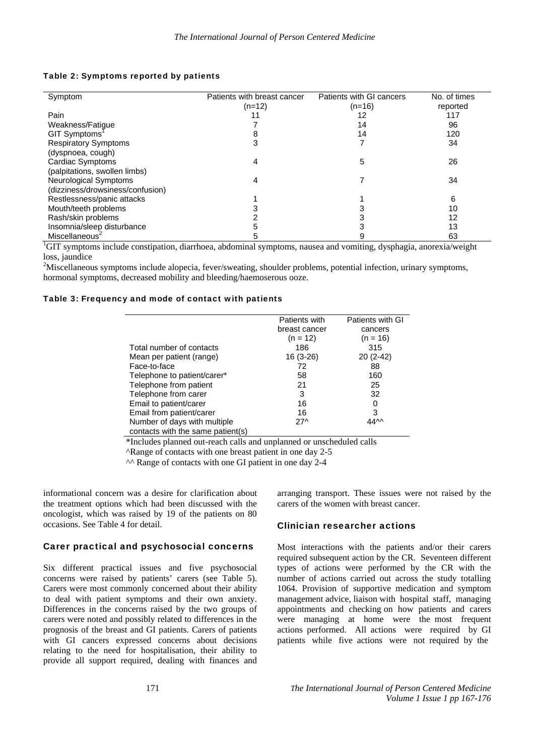| Symptom                          | Patients with breast cancer | Patients with GI cancers | No. of times |
|----------------------------------|-----------------------------|--------------------------|--------------|
|                                  | $(n=12)$                    | $(n=16)$                 | reported     |
| Pain                             |                             | 12                       | 117          |
| Weakness/Fatique                 |                             | 14                       | 96           |
| GIT Symptoms'                    |                             | 14                       | 120          |
| <b>Respiratory Symptoms</b>      |                             |                          | 34           |
| (dyspnoea, cough)                |                             |                          |              |
| Cardiac Symptoms                 |                             | 5                        | 26           |
| (palpitations, swollen limbs)    |                             |                          |              |
| <b>Neurological Symptoms</b>     |                             |                          | 34           |
| (dizziness/drowsiness/confusion) |                             |                          |              |
| Restlessness/panic attacks       |                             |                          | 6            |
| Mouth/teeth problems             |                             |                          | 10           |
| Rash/skin problems               |                             |                          | 12           |
| Insomnia/sleep disturbance       |                             |                          | 13           |
| Miscellaneous <sup>2</sup>       |                             |                          | 63           |

#### Table 2: Symptoms reported by patients

<sup>1</sup>GIT symptoms include constipation, diarrhoea, abdominal symptoms, nausea and vomiting, dysphagia, anorexia/weight loss, jaundice

<sup>2</sup>Miscellaneous symptoms include alopecia, fever/sweating, shoulder problems, potential infection, urinary symptoms, hormonal symptoms, decreased mobility and bleeding/haemoserous ooze.

#### Table 3: Frequency and mode of contact with patients

|                                   | Patients with   | Patients with GI |
|-----------------------------------|-----------------|------------------|
|                                   | breast cancer   | cancers          |
|                                   | $(n = 12)$      | $(n = 16)$       |
| Total number of contacts          | 186             | 315              |
| Mean per patient (range)          | 16 (3-26)       | 20 (2-42)        |
| Face-to-face                      | 72              | 88               |
| Telephone to patient/carer*       | 58              | 160              |
| Telephone from patient            | 21              | 25               |
| Telephone from carer              | 3               | 32               |
| Email to patient/carer            | 16              | 0                |
| Email from patient/carer          | 16              | 3                |
| Number of days with multiple      | 27 <sub>0</sub> | 44M              |
| contacts with the same patient(s) |                 |                  |

\*Includes planned out-reach calls and unplanned or unscheduled calls

^Range of contacts with one breast patient in one day 2-5

^^ Range of contacts with one GI patient in one day 2-4

informational concern was a desire for clarification about the treatment options which had been discussed with the oncologist, which was raised by 19 of the patients on 80 occasions. See Table 4 for detail.

#### Carer practical and psychosocial concerns

Six different practical issues and five psychosocial concerns were raised by patients' carers (see Table 5). Carers were most commonly concerned about their ability to deal with patient symptoms and their own anxiety. Differences in the concerns raised by the two groups of carers were noted and possibly related to differences in the prognosis of the breast and GI patients. Carers of patients with GI cancers expressed concerns about decisions relating to the need for hospitalisation, their ability to provide all support required, dealing with finances and

arranging transport. These issues were not raised by the carers of the women with breast cancer.

#### Clinician researcher actions

Most interactions with the patients and/or their carers required subsequent action by the CR. Seventeen different types of actions were performed by the CR with the number of actions carried out across the study totalling 1064. Provision of supportive medication and symptom management advice, liaison with hospital staff, managing appointments and checking on how patients and carers were managing at home were the most frequent actions performed. All actions were required by GI patients while five actions were not required by the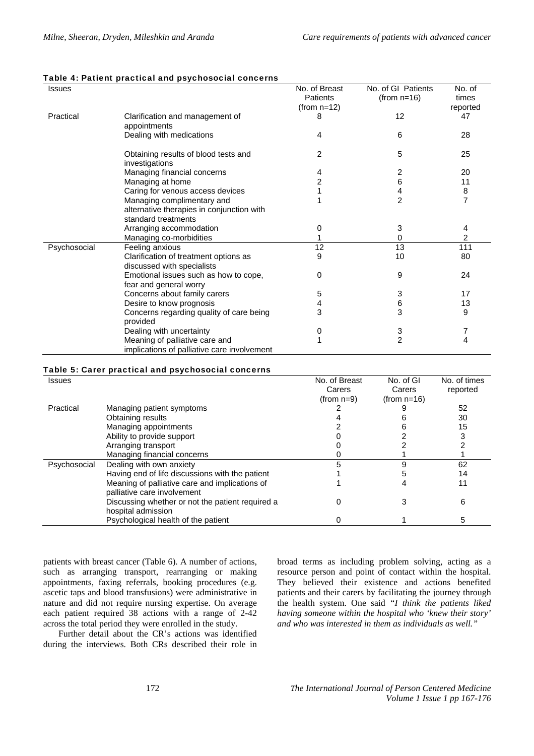#### Table 4: Patient practical and psychosocial concerns

| <b>Issues</b> |                                                                     | No. of Breast<br>Patients<br>(from $n=12$ ) | No. of GI Patients<br>$(from n=16)$ | No. of<br>times<br>reported |
|---------------|---------------------------------------------------------------------|---------------------------------------------|-------------------------------------|-----------------------------|
| Practical     | Clarification and management of<br>appointments                     | 8                                           | 12                                  | 47                          |
|               | Dealing with medications                                            | 4                                           | 6                                   | 28                          |
|               | Obtaining results of blood tests and<br>investigations              | 2                                           | 5                                   | 25                          |
|               | Managing financial concerns                                         | 4                                           | 2                                   | 20                          |
|               | Managing at home                                                    | $\overline{2}$                              | 6                                   | 11                          |
|               | Caring for venous access devices                                    |                                             | 4                                   | 8                           |
|               | Managing complimentary and                                          |                                             | $\overline{2}$                      | $\overline{7}$              |
|               | alternative therapies in conjunction with                           |                                             |                                     |                             |
|               | standard treatments                                                 |                                             |                                     |                             |
|               | Arranging accommodation                                             | 0                                           | 3                                   | 4                           |
|               | Managing co-morbidities                                             | 1                                           | 0                                   | $\overline{2}$              |
| Psychosocial  | Feeling anxious                                                     | 12                                          | 13                                  | 111                         |
|               | Clarification of treatment options as<br>discussed with specialists | 9                                           | 10                                  | 80                          |
|               | Emotional issues such as how to cope,<br>fear and general worry     | 0                                           | 9                                   | 24                          |
|               | Concerns about family carers                                        | 5                                           | 3                                   | 17                          |
|               | Desire to know prognosis                                            | 4                                           | 6                                   | 13                          |
|               | Concerns regarding quality of care being                            | 3                                           | 3                                   | 9                           |
|               | provided                                                            |                                             |                                     |                             |
|               | Dealing with uncertainty                                            | 0                                           | 3                                   |                             |
|               | Meaning of palliative care and                                      |                                             | $\overline{2}$                      | 4                           |
|               | implications of palliative care involvement                         |                                             |                                     |                             |

#### Table 5: Carer practical and psychosocial concerns

| <b>Issues</b> |                                                  | No. of Breast | No. of GI      | No. of times |
|---------------|--------------------------------------------------|---------------|----------------|--------------|
|               |                                                  | Carers        | Carers         | reported     |
|               |                                                  | (from $n=9$ ) | (from $n=16$ ) |              |
| Practical     | Managing patient symptoms                        |               |                | 52           |
|               | Obtaining results                                |               |                | 30           |
|               | Managing appointments                            |               |                | 15           |
|               | Ability to provide support                       |               |                | 3            |
|               | Arranging transport                              |               |                |              |
|               | Managing financial concerns                      |               |                |              |
| Psychosocial  | Dealing with own anxiety                         |               | g              | 62           |
|               | Having end of life discussions with the patient  |               |                | 14           |
|               | Meaning of palliative care and implications of   |               |                | 11           |
|               | palliative care involvement                      |               |                |              |
|               | Discussing whether or not the patient required a |               |                | 6            |
|               | hospital admission                               |               |                |              |
|               | Psychological health of the patient              |               |                | 5            |

patients with breast cancer (Table 6). A number of actions, such as arranging transport, rearranging or making appointments, faxing referrals, booking procedures (e.g. ascetic taps and blood transfusions) were administrative in nature and did not require nursing expertise. On average each patient required 38 actions with a range of 2-42 across the total period they were enrolled in the study.

Further detail about the CR's actions was identified during the interviews. Both CRs described their role in broad terms as including problem solving, acting as a resource person and point of contact within the hospital. They believed their existence and actions benefited patients and their carers by facilitating the journey through the health system. One said *"I think the patients liked having someone within the hospital who 'knew their story' and who was interested in them as individuals as well."*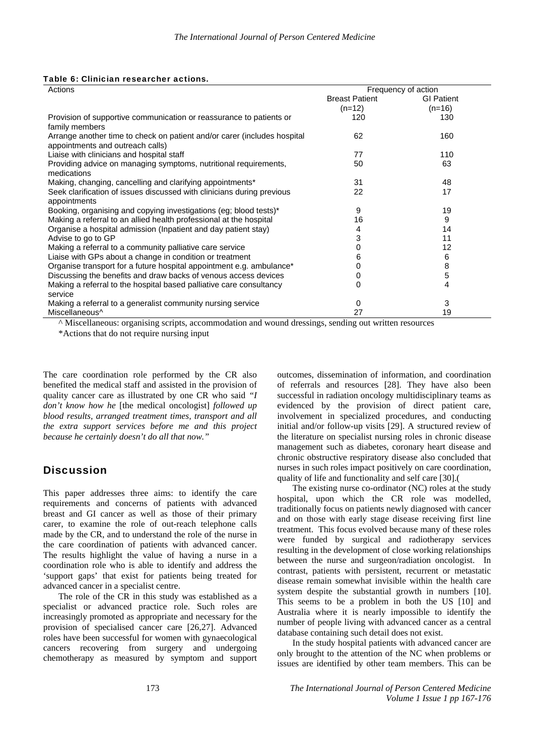|  |  | Table 6: Clinician researcher actions. |
|--|--|----------------------------------------|
|--|--|----------------------------------------|

| Actions                                                                  | Frequency of action   |                   |
|--------------------------------------------------------------------------|-----------------------|-------------------|
|                                                                          | <b>Breast Patient</b> | <b>GI Patient</b> |
|                                                                          | $(n=12)$              | $(n=16)$          |
| Provision of supportive communication or reassurance to patients or      | 120                   | 130               |
| family members                                                           |                       |                   |
| Arrange another time to check on patient and/or carer (includes hospital | 62                    | 160               |
| appointments and outreach calls)                                         |                       |                   |
| Liaise with clinicians and hospital staff                                | 77                    | 110               |
| Providing advice on managing symptoms, nutritional requirements,         | 50                    | 63                |
| medications                                                              |                       |                   |
| Making, changing, cancelling and clarifying appointments*                | 31                    | 48                |
| Seek clarification of issues discussed with clinicians during previous   | 22                    | 17                |
| appointments                                                             |                       |                   |
| Booking, organising and copying investigations (eg; blood tests)*        | 9                     | 19                |
| Making a referral to an allied health professional at the hospital       | 16                    | 9                 |
| Organise a hospital admission (Inpatient and day patient stay)           | 4                     | 14                |
| Advise to go to GP                                                       | 3                     | 11                |
| Making a referral to a community palliative care service                 | 0                     | 12                |
| Liaise with GPs about a change in condition or treatment                 | 6                     | 6                 |
| Organise transport for a future hospital appointment e.g. ambulance*     | 0                     | 8                 |
| Discussing the benefits and draw backs of venous access devices          | 0                     | 5                 |
| Making a referral to the hospital based palliative care consultancy      | 0                     | 4                 |
| service                                                                  |                       |                   |
| Making a referral to a generalist community nursing service              | 0                     | 3                 |
| Miscellaneous <sup>^</sup>                                               | 27                    | 19                |

^ Miscellaneous: organising scripts, accommodation and wound dressings, sending out written resources

\*Actions that do not require nursing input

The care coordination role performed by the CR also benefited the medical staff and assisted in the provision of quality cancer care as illustrated by one CR who said *"I don't know how he* [the medical oncologist] *followed up blood results, arranged treatment times, transport and all the extra support services before me and this project because he certainly doesn't do all that now."* 

## **Discussion**

This paper addresses three aims: to identify the care requirements and concerns of patients with advanced breast and GI cancer as well as those of their primary carer, to examine the role of out-reach telephone calls made by the CR, and to understand the role of the nurse in the care coordination of patients with advanced cancer. The results highlight the value of having a nurse in a coordination role who is able to identify and address the 'support gaps' that exist for patients being treated for advanced cancer in a specialist centre.

The role of the CR in this study was established as a specialist or advanced practice role. Such roles are increasingly promoted as appropriate and necessary for the provision of specialised cancer care [26,27]. Advanced roles have been successful for women with gynaecological cancers recovering from surgery and undergoing chemotherapy as measured by symptom and support

outcomes, dissemination of information, and coordination of referrals and resources [28]. They have also been successful in radiation oncology multidisciplinary teams as evidenced by the provision of direct patient care, involvement in specialized procedures, and conducting initial and/or follow-up visits [29]. A structured review of the literature on specialist nursing roles in chronic disease management such as diabetes, coronary heart disease and chronic obstructive respiratory disease also concluded that nurses in such roles impact positively on care coordination, quality of life and functionality and self care [30].(

The existing nurse co-ordinator (NC) roles at the study hospital, upon which the CR role was modelled, traditionally focus on patients newly diagnosed with cancer and on those with early stage disease receiving first line treatment. This focus evolved because many of these roles were funded by surgical and radiotherapy services resulting in the development of close working relationships between the nurse and surgeon/radiation oncologist. In contrast, patients with persistent, recurrent or metastatic disease remain somewhat invisible within the health care system despite the substantial growth in numbers [10]. This seems to be a problem in both the US [10] and Australia where it is nearly impossible to identify the number of people living with advanced cancer as a central database containing such detail does not exist.

In the study hospital patients with advanced cancer are only brought to the attention of the NC when problems or issues are identified by other team members. This can be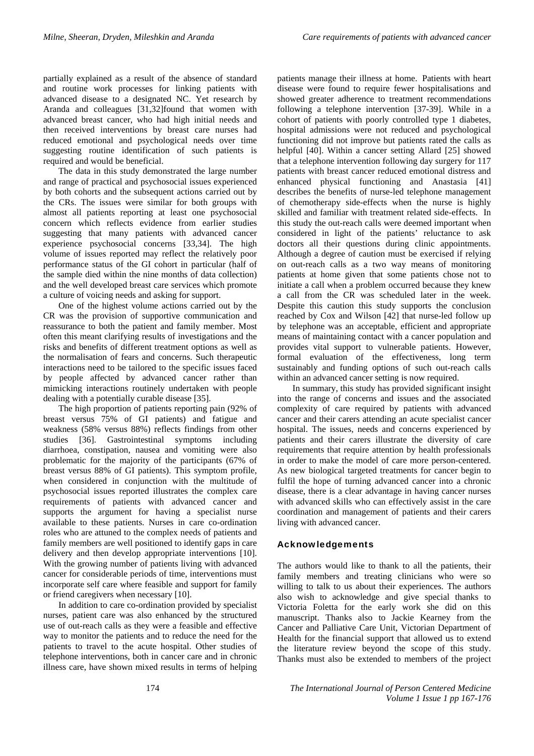partially explained as a result of the absence of standard and routine work processes for linking patients with advanced disease to a designated NC. Yet research by Aranda and colleagues [31,32]found that women with advanced breast cancer, who had high initial needs and then received interventions by breast care nurses had reduced emotional and psychological needs over time suggesting routine identification of such patients is required and would be beneficial.

The data in this study demonstrated the large number and range of practical and psychosocial issues experienced by both cohorts and the subsequent actions carried out by the CRs. The issues were similar for both groups with almost all patients reporting at least one psychosocial concern which reflects evidence from earlier studies suggesting that many patients with advanced cancer experience psychosocial concerns [33,34]. The high volume of issues reported may reflect the relatively poor performance status of the GI cohort in particular (half of the sample died within the nine months of data collection) and the well developed breast care services which promote a culture of voicing needs and asking for support.

One of the highest volume actions carried out by the CR was the provision of supportive communication and reassurance to both the patient and family member. Most often this meant clarifying results of investigations and the risks and benefits of different treatment options as well as the normalisation of fears and concerns. Such therapeutic interactions need to be tailored to the specific issues faced by people affected by advanced cancer rather than mimicking interactions routinely undertaken with people dealing with a potentially curable disease [35].

The high proportion of patients reporting pain (92% of breast versus 75% of GI patients) and fatigue and weakness (58% versus 88%) reflects findings from other studies [36]. Gastrointestinal symptoms including diarrhoea, constipation, nausea and vomiting were also problematic for the majority of the participants (67% of breast versus 88% of GI patients). This symptom profile, when considered in conjunction with the multitude of psychosocial issues reported illustrates the complex care requirements of patients with advanced cancer and supports the argument for having a specialist nurse available to these patients. Nurses in care co-ordination roles who are attuned to the complex needs of patients and family members are well positioned to identify gaps in care delivery and then develop appropriate interventions [10]. With the growing number of patients living with advanced cancer for considerable periods of time, interventions must incorporate self care where feasible and support for family or friend caregivers when necessary [10].

In addition to care co-ordination provided by specialist nurses, patient care was also enhanced by the structured use of out-reach calls as they were a feasible and effective way to monitor the patients and to reduce the need for the patients to travel to the acute hospital. Other studies of telephone interventions, both in cancer care and in chronic illness care, have shown mixed results in terms of helping

patients manage their illness at home. Patients with heart disease were found to require fewer hospitalisations and showed greater adherence to treatment recommendations following a telephone intervention [37-39]. While in a cohort of patients with poorly controlled type 1 diabetes, hospital admissions were not reduced and psychological functioning did not improve but patients rated the calls as helpful [40]. Within a cancer setting Allard [25] showed that a telephone intervention following day surgery for 117 patients with breast cancer reduced emotional distress and enhanced physical functioning and Anastasia [41] describes the benefits of nurse-led telephone management of chemotherapy side-effects when the nurse is highly skilled and familiar with treatment related side-effects. In this study the out-reach calls were deemed important when considered in light of the patients' reluctance to ask doctors all their questions during clinic appointments. Although a degree of caution must be exercised if relying on out-reach calls as a two way means of monitoring patients at home given that some patients chose not to initiate a call when a problem occurred because they knew a call from the CR was scheduled later in the week. Despite this caution this study supports the conclusion reached by Cox and Wilson [42] that nurse-led follow up by telephone was an acceptable, efficient and appropriate means of maintaining contact with a cancer population and provides vital support to vulnerable patients. However, formal evaluation of the effectiveness, long term sustainably and funding options of such out-reach calls within an advanced cancer setting is now required.

In summary, this study has provided significant insight into the range of concerns and issues and the associated complexity of care required by patients with advanced cancer and their carers attending an acute specialist cancer hospital. The issues, needs and concerns experienced by patients and their carers illustrate the diversity of care requirements that require attention by health professionals in order to make the model of care more person-centered. As new biological targeted treatments for cancer begin to fulfil the hope of turning advanced cancer into a chronic disease, there is a clear advantage in having cancer nurses with advanced skills who can effectively assist in the care coordination and management of patients and their carers living with advanced cancer.

#### Acknowledgements

The authors would like to thank to all the patients, their family members and treating clinicians who were so willing to talk to us about their experiences. The authors also wish to acknowledge and give special thanks to Victoria Foletta for the early work she did on this manuscript. Thanks also to Jackie Kearney from the Cancer and Palliative Care Unit, Victorian Department of Health for the financial support that allowed us to extend the literature review beyond the scope of this study. Thanks must also be extended to members of the project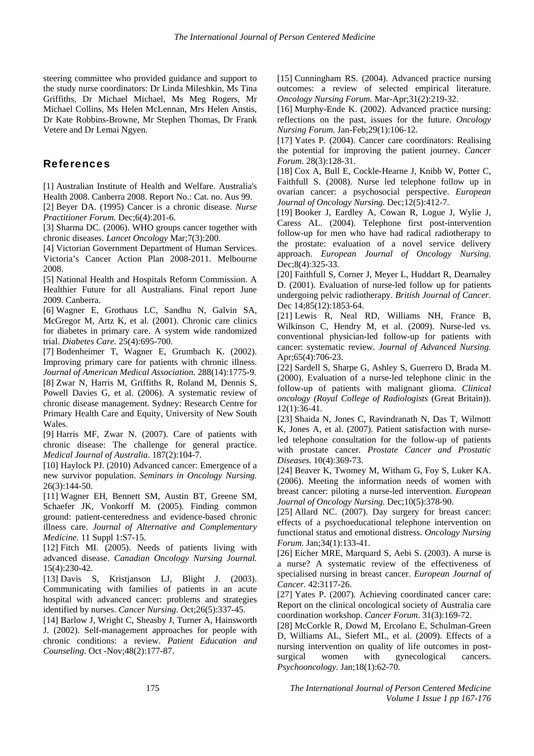steering committee who provided guidance and support to the study nurse coordinators: Dr Linda Mileshkin, Ms Tina Griffiths, Dr Michael Michael, Ms Meg Rogers, Mr Michael Collins, Ms Helen McLennan, Mrs Helen Anstis, Dr Kate Robbins-Browne, Mr Stephen Thomas, Dr Frank Vetere and Dr Lemai Ngyen.

### References

[1] Australian Institute of Health and Welfare. Australia's Health 2008. Canberra 2008. Report No.: Cat. no. Aus 99.

[2] Beyer DA. (1995) Cancer is a chronic disease. *Nurse Practitioner Forum.* Dec;6(4):201-6.

[3] Sharma DC. (2006). WHO groups cancer together with chronic diseases. *Lancet Oncology* Mar;7(3):200.

[4] Victorian Government Department of Human Services. Victoria's Cancer Action Plan 2008-2011. Melbourne 2008.

[5] National Health and Hospitals Reform Commission. A Healthier Future for all Australians. Final report June 2009. Canberra.

[6] Wagner E, Grothaus LC, Sandhu N, Galvin SA, McGregor M, Artz K, et al. (2001). Chronic care clinics for diabetes in primary care. A system wide randomized trial. *Diabetes Care.* 25(4):695-700.

[7] Bodenheimer T, Wagner E, Grumbach K. (2002). Improving primary care for patients with chronic illness. *Journal of American Medical Association*. 288(14):1775-9. [8] Zwar N, Harris M, Griffiths R, Roland M, Dennis S, Powell Davies G, et al. (2006). A systematic review of chronic disease management. Sydney: Research Centre for Primary Health Care and Equity, University of New South Wales.

[9] Harris MF, Zwar N. (2007). Care of patients with chronic disease: The challenge for general practice. *Medical Journal of Australia*. 187(2):104-7.

[10] Haylock PJ. (2010) Advanced cancer: Emergence of a new survivor population. *Seminars in Oncology Nursing.* 26(3):144-50.

[11] Wagner EH, Bennett SM, Austin BT, Greene SM, Schaefer JK, Vonkorff M. (2005). Finding common ground: patient-centeredness and evidence-based chronic illness care. *Journal of Alternative and Complementary Medicine.* 11 Suppl 1:S7-15.

[12] Fitch MI. (2005). Needs of patients living with advanced disease. *Canadian Oncology Nursing Journal.* 15(4):230-42.

[13] Davis S, Kristjanson LJ, Blight J. (2003). Communicating with families of patients in an acute hospital with advanced cancer: problems and strategies identified by nurses. *Cancer Nursing*. Oct;26(5):337-45.

[14] Barlow J, Wright C, Sheasby J, Turner A, Hainsworth J. (2002). Self-management approaches for people with chronic conditions: a review. *Patient Education and Counseling.* Oct -Nov;48(2):177-87.

[15] Cunningham RS. (2004). Advanced practice nursing outcomes: a review of selected empirical literature. *Oncology Nursing Forum.* Mar-Apr;31(2):219-32.

[16] Murphy-Ende K. (2002). Advanced practice nursing: reflections on the past, issues for the future. *Oncology Nursing Forum.* Jan-Feb;29(1):106-12.

[17] Yates P. (2004). Cancer care coordinators: Realising the potential for improving the patient journey. *Cancer Forum*. 28(3):128-31.

[18] Cox A, Bull E, Cockle-Hearne J, Knibb W, Potter C, Faithfull S. (2008). Nurse led telephone follow up in ovarian cancer: a psychosocial perspective. *European Journal of Oncology Nursing.* Dec;12(5):412-7.

[19] Booker J, Eardley A, Cowan R, Logue J, Wylie J, Caress AL. (2004). Telephone first post-intervention follow-up for men who have had radical radiotherapy to the prostate: evaluation of a novel service delivery approach. *European Journal of Oncology Nursing.* Dec;8(4):325-33.

[20] Faithfull S, Corner J, Meyer L, Huddart R, Dearnaley D. (2001). Evaluation of nurse-led follow up for patients undergoing pelvic radiotherapy. *British Journal of Cancer*. Dec 14;85(12):1853-64.

[21] Lewis R, Neal RD, Williams NH, France B, Wilkinson C, Hendry M, et al. (2009). Nurse-led vs. conventional physician-led follow-up for patients with cancer: systematic review. *Journal of Advanced Nursing.* Apr;65(4):706-23.

[22] Sardell S, Sharpe G, Ashley S, Guerrero D, Brada M. (2000). Evaluation of a nurse-led telephone clinic in the follow-up of patients with malignant glioma. *Clinical oncology (Royal College of Radiologists* (Great Britain)). 12(1):36-41.

[23] Shaida N, Jones C, Ravindranath N, Das T, Wilmott K, Jones A, et al. (2007). Patient satisfaction with nurseled telephone consultation for the follow-up of patients with prostate cancer. *Prostate Cancer and Prostatic Diseases.* 10(4):369-73.

[24] Beaver K, Twomey M, Witham G, Foy S, Luker KA. (2006). Meeting the information needs of women with breast cancer: piloting a nurse-led intervention. *European Journal of Oncology Nursing.* Dec;10(5):378-90.

[25] Allard NC. (2007). Day surgery for breast cancer: effects of a psychoeducational telephone intervention on functional status and emotional distress. *Oncology Nursing Forum.* Jan;34(1):133-41.

[26] Eicher MRE, Marquard S, Aebi S. (2003). A nurse is a nurse? A systematic review of the effectiveness of specialised nursing in breast cancer. *European Journal of Cancer.* 42:3117-26.

[27] Yates P. (2007). Achieving coordinated cancer care: Report on the clinical oncological society of Australia care coordination workshop. *Cancer Forum*. 31(3):169-72.

[28] McCorkle R, Dowd M, Ercolano E, Schulman-Green D, Williams AL, Siefert ML, et al. (2009). Effects of a nursing intervention on quality of life outcomes in postsurgical women with gynecological cancers. *Psychooncology.* Jan;18(1):62-70.